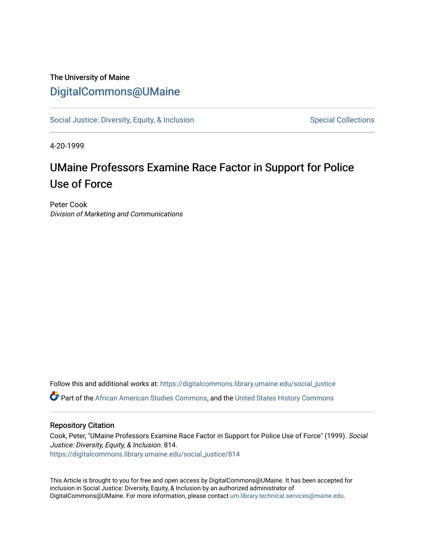## The University of Maine [DigitalCommons@UMaine](https://digitalcommons.library.umaine.edu/)

[Social Justice: Diversity, Equity, & Inclusion](https://digitalcommons.library.umaine.edu/social_justice) [Special Collections](https://digitalcommons.library.umaine.edu/specialcollections) Special Collections

4-20-1999

## UMaine Professors Examine Race Factor in Support for Police Use of Force

Peter Cook Division of Marketing and Communications

Follow this and additional works at: [https://digitalcommons.library.umaine.edu/social\\_justice](https://digitalcommons.library.umaine.edu/social_justice?utm_source=digitalcommons.library.umaine.edu%2Fsocial_justice%2F814&utm_medium=PDF&utm_campaign=PDFCoverPages)  Part of the [African American Studies Commons,](http://network.bepress.com/hgg/discipline/567?utm_source=digitalcommons.library.umaine.edu%2Fsocial_justice%2F814&utm_medium=PDF&utm_campaign=PDFCoverPages) and the [United States History Commons](http://network.bepress.com/hgg/discipline/495?utm_source=digitalcommons.library.umaine.edu%2Fsocial_justice%2F814&utm_medium=PDF&utm_campaign=PDFCoverPages) 

## Repository Citation

Cook, Peter, "UMaine Professors Examine Race Factor in Support for Police Use of Force" (1999). Social Justice: Diversity, Equity, & Inclusion. 814. [https://digitalcommons.library.umaine.edu/social\\_justice/814](https://digitalcommons.library.umaine.edu/social_justice/814?utm_source=digitalcommons.library.umaine.edu%2Fsocial_justice%2F814&utm_medium=PDF&utm_campaign=PDFCoverPages) 

This Article is brought to you for free and open access by DigitalCommons@UMaine. It has been accepted for inclusion in Social Justice: Diversity, Equity, & Inclusion by an authorized administrator of DigitalCommons@UMaine. For more information, please contact [um.library.technical.services@maine.edu](mailto:um.library.technical.services@maine.edu).